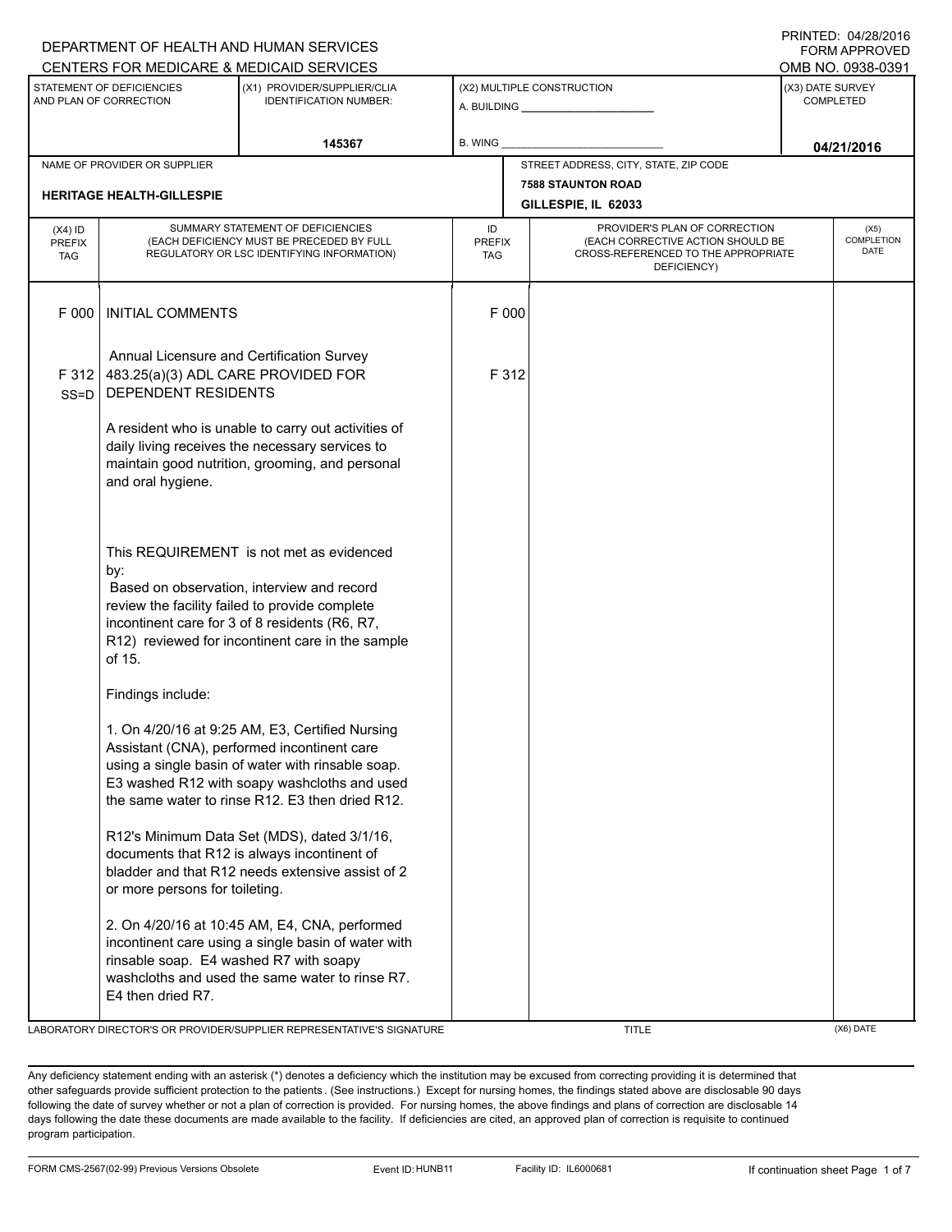|                                                                                                 | DEPARTMENT OF HEALTH AND HUMAN SERVICES                                                                |                                                                                                                                                                                                                                                        | <b>FORM APPROVED</b><br>OMB NO. 0938-0391 |                                                                                                                          |  |                                      |  |  |
|-------------------------------------------------------------------------------------------------|--------------------------------------------------------------------------------------------------------|--------------------------------------------------------------------------------------------------------------------------------------------------------------------------------------------------------------------------------------------------------|-------------------------------------------|--------------------------------------------------------------------------------------------------------------------------|--|--------------------------------------|--|--|
| CENTERS FOR MEDICARE & MEDICAID SERVICES<br>STATEMENT OF DEFICIENCIES<br>AND PLAN OF CORRECTION |                                                                                                        | (X1) PROVIDER/SUPPLIER/CLIA<br><b>IDENTIFICATION NUMBER:</b>                                                                                                                                                                                           |                                           | (X2) MULTIPLE CONSTRUCTION                                                                                               |  | (X3) DATE SURVEY<br><b>COMPLETED</b> |  |  |
|                                                                                                 |                                                                                                        | 145367                                                                                                                                                                                                                                                 | B. WING                                   |                                                                                                                          |  | 04/21/2016                           |  |  |
|                                                                                                 | NAME OF PROVIDER OR SUPPLIER<br><b>HERITAGE HEALTH-GILLESPIE</b>                                       |                                                                                                                                                                                                                                                        |                                           | STREET ADDRESS, CITY, STATE, ZIP CODE<br><b>7588 STAUNTON ROAD</b>                                                       |  |                                      |  |  |
|                                                                                                 |                                                                                                        |                                                                                                                                                                                                                                                        |                                           | GILLESPIE, IL 62033                                                                                                      |  |                                      |  |  |
| $(X4)$ ID<br><b>PREFIX</b><br><b>TAG</b>                                                        |                                                                                                        | SUMMARY STATEMENT OF DEFICIENCIES<br>(EACH DEFICIENCY MUST BE PRECEDED BY FULL<br>REGULATORY OR LSC IDENTIFYING INFORMATION)                                                                                                                           | ID<br><b>PREFIX</b><br><b>TAG</b>         | PROVIDER'S PLAN OF CORRECTION<br>(EACH CORRECTIVE ACTION SHOULD BE<br>CROSS-REFERENCED TO THE APPROPRIATE<br>DEFICIENCY) |  | (X5)<br>COMPLETION<br><b>DATE</b>    |  |  |
| F 000                                                                                           | <b>INITIAL COMMENTS</b>                                                                                |                                                                                                                                                                                                                                                        | F 000                                     |                                                                                                                          |  |                                      |  |  |
| F312<br>$SS = D$                                                                                | Annual Licensure and Certification Survey<br>483.25(a)(3) ADL CARE PROVIDED FOR<br>DEPENDENT RESIDENTS |                                                                                                                                                                                                                                                        | F 312                                     |                                                                                                                          |  |                                      |  |  |
|                                                                                                 | and oral hygiene.                                                                                      | A resident who is unable to carry out activities of<br>daily living receives the necessary services to<br>maintain good nutrition, grooming, and personal                                                                                              |                                           |                                                                                                                          |  |                                      |  |  |
|                                                                                                 | by:<br>of 15.                                                                                          | This REQUIREMENT is not met as evidenced<br>Based on observation, interview and record<br>review the facility failed to provide complete<br>incontinent care for 3 of 8 residents (R6, R7,<br>R12) reviewed for incontinent care in the sample         |                                           |                                                                                                                          |  |                                      |  |  |
|                                                                                                 | Findings include:                                                                                      |                                                                                                                                                                                                                                                        |                                           |                                                                                                                          |  |                                      |  |  |
|                                                                                                 |                                                                                                        | 1. On 4/20/16 at 9:25 AM, E3, Certified Nursing<br>Assistant (CNA), performed incontinent care<br>using a single basin of water with rinsable soap.<br>E3 washed R12 with soapy washcloths and used<br>the same water to rinse R12. E3 then dried R12. |                                           |                                                                                                                          |  |                                      |  |  |
|                                                                                                 | or more persons for toileting.                                                                         | R12's Minimum Data Set (MDS), dated 3/1/16,<br>documents that R12 is always incontinent of<br>bladder and that R12 needs extensive assist of 2                                                                                                         |                                           |                                                                                                                          |  |                                      |  |  |
|                                                                                                 | rinsable soap. E4 washed R7 with soapy<br>E4 then dried R7.                                            | 2. On 4/20/16 at 10:45 AM, E4, CNA, performed<br>incontinent care using a single basin of water with<br>washcloths and used the same water to rinse R7.                                                                                                |                                           |                                                                                                                          |  |                                      |  |  |

LABORATORY DIRECTOR'S OR PROVIDER/SUPPLIER REPRESENTATIVE'S SIGNATURE THE TITLE THE TITLE (X6) DATE

DEPARTMENT OF HEALTH AND HUMAN SERVICES

PRINTED: 04/28/2016

Any deficiency statement ending with an asterisk (\*) denotes a deficiency which the institution may be excused from correcting providing it is determined that other safeguards provide sufficient protection to the patients . (See instructions.) Except for nursing homes, the findings stated above are disclosable 90 days following the date of survey whether or not a plan of correction is provided. For nursing homes, the above findings and plans of correction are disclosable 14 days following the date these documents are made available to the facility. If deficiencies are cited, an approved plan of correction is requisite to continued program participation.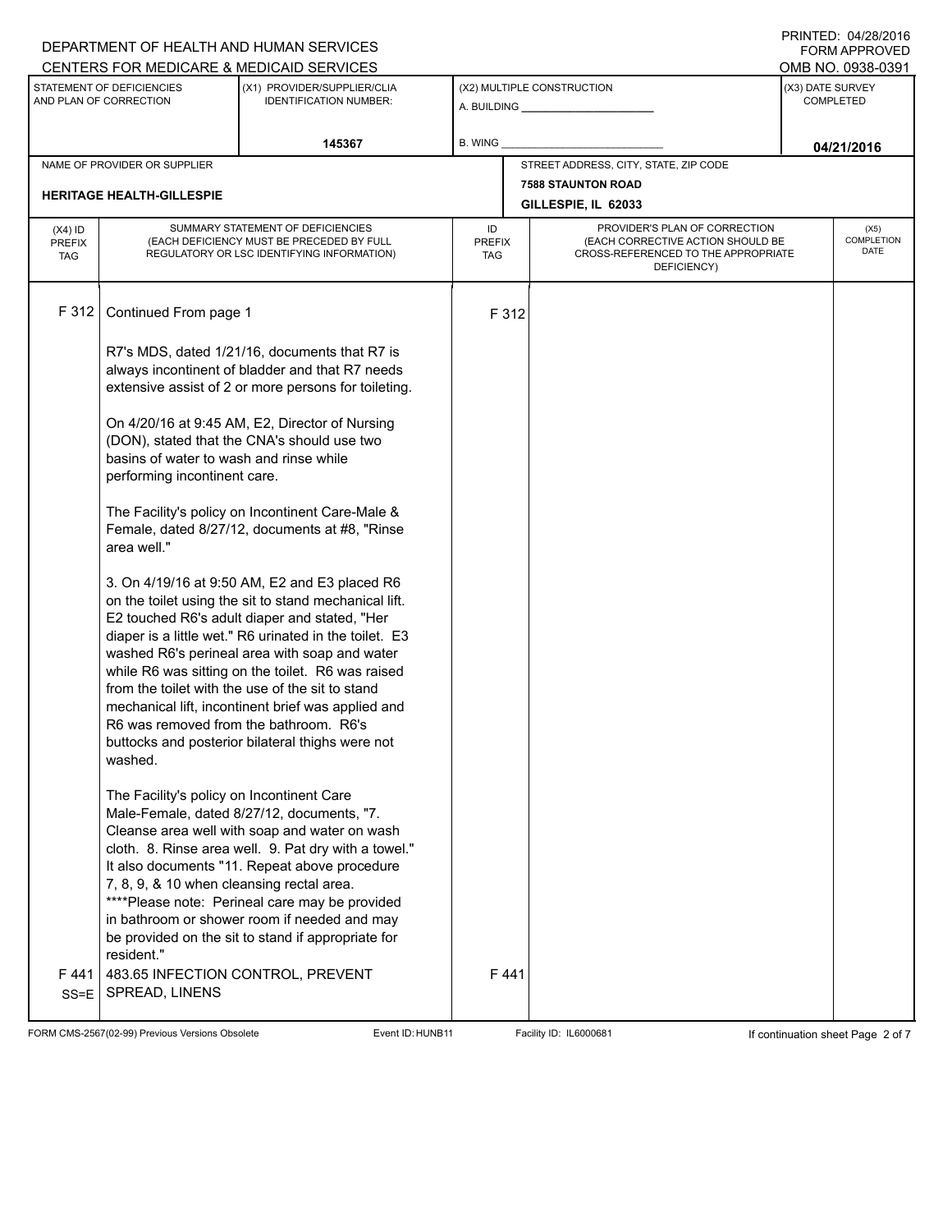### A. BUILDING **\_\_\_\_\_\_\_\_\_\_\_\_\_\_\_\_\_\_\_\_\_\_** (X1) PROVIDER/SUPPLIER/CLIA IDENTIFICATION NUMBER: STATEMENT OF DEFICIENCIES AND PLAN OF CORRECTION (X3) DATE SURVEY COMPLETED FORM APPROVED (X2) MULTIPLE CONSTRUCTION **B. WING** CENTERS FOR MEDICARE & MEDICAID SERVICES **And CENTERS FOR MEDICAL ACCESS** OMB NO. 0938-0391 **145367 04/21/2016** NAME OF PROVIDER OR SUPPLIER STREET ADDRESS, CITY, STATE, ZIP CODE **7588 STAUNTON ROAD HERITAGE HEALTH-GILLESPIE GILLESPIE, IL 62033** PROVIDER'S PLAN OF CORRECTION (EACH CORRECTIVE ACTION SHOULD BE CROSS-REFERENCED TO THE APPROPRIATE DEFICIENCY) (X5) **COMPLETION** DATE ID PREFIX TAG (X4) ID PREFIX TAG SUMMARY STATEMENT OF DEFICIENCIES (EACH DEFICIENCY MUST BE PRECEDED BY FULL REGULATORY OR LSC IDENTIFYING INFORMATION) F 312 Continued From page 1 F 312 R7's MDS, dated 1/21/16, documents that R7 is always incontinent of bladder and that R7 needs extensive assist of 2 or more persons for toileting. On 4/20/16 at 9:45 AM, E2, Director of Nursing (DON), stated that the CNA's should use two basins of water to wash and rinse while performing incontinent care. The Facility's policy on Incontinent Care-Male & Female, dated 8/27/12, documents at #8, "Rinse area well." 3. On 4/19/16 at 9:50 AM, E2 and E3 placed R6 on the toilet using the sit to stand mechanical lift. E2 touched R6's adult diaper and stated, "Her diaper is a little wet." R6 urinated in the toilet. E3 washed R6's perineal area with soap and water while R6 was sitting on the toilet. R6 was raised from the toilet with the use of the sit to stand mechanical lift, incontinent brief was applied and R6 was removed from the bathroom. R6's buttocks and posterior bilateral thighs were not washed. The Facility's policy on Incontinent Care Male-Female, dated 8/27/12, documents, "7. Cleanse area well with soap and water on wash cloth. 8. Rinse area well. 9. Pat dry with a towel." It also documents "11. Repeat above procedure 7, 8, 9, & 10 when cleansing rectal area. \*\*\*\*Please note: Perineal care may be provided in bathroom or shower room if needed and may be provided on the sit to stand if appropriate for resident."  $F 441$ SS=E 483.65 INFECTION CONTROL, PREVENT SPREAD, LINENS F 441

FORM CMS-2567(02-99) Previous Versions Obsolete Exert ID: HUNB11 Facility ID: IL6000681 If continuation sheet Page 2 of 7

DEPARTMENT OF HEALTH AND HUMAN SERVICES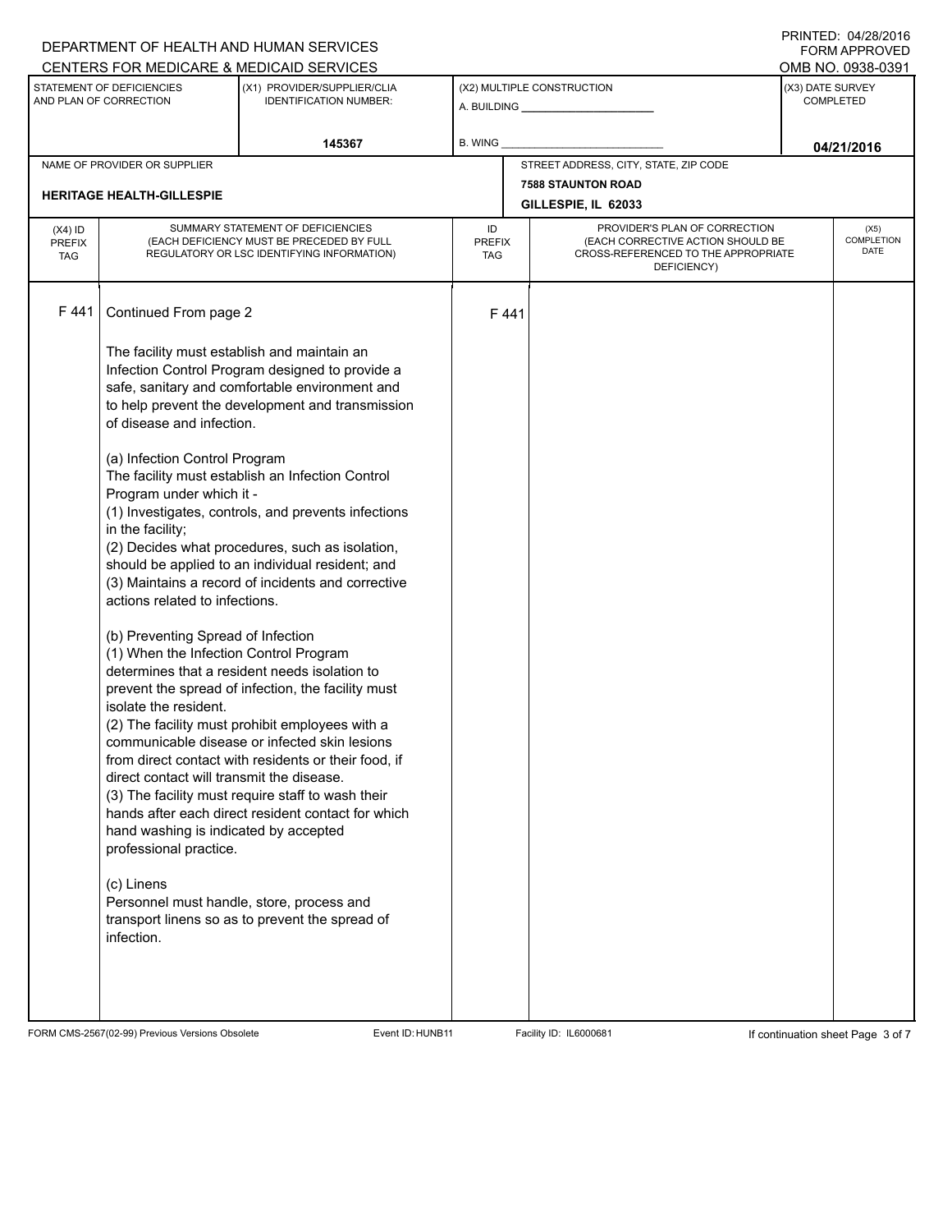# A. BUILDING **\_\_\_\_\_\_\_\_\_\_\_\_\_\_\_\_\_\_\_\_\_\_** (X1) PROVIDER/SUPPLIER/CLIA IDENTIFICATION NUMBER: STATEMENT OF DEFICIENCIES AND PLAN OF CORRECTION (X3) DATE SURVEY COMPLETED FORM APPROVED (X2) MULTIPLE CONSTRUCTION B. WING CENTERS FOR MEDICARE & MEDICAID SERVICES **And CENTERS FOR MEDICAL ACCESS** OMB NO. 0938-0391 **145367 04/21/2016** NAME OF PROVIDER OR SUPPLIER STREET ADDRESS, CITY, STATE, ZIP CODE **7588 STAUNTON ROAD HERITAGE HEALTH-GILLESPIE GILLESPIE, IL 62033** PROVIDER'S PLAN OF CORRECTION (EACH CORRECTIVE ACTION SHOULD BE CROSS-REFERENCED TO THE APPROPRIATE DEFICIENCY) (X5) **COMPLETION** DATE ID PREFIX TAG (X4) ID PREFIX TAG SUMMARY STATEMENT OF DEFICIENCIES (EACH DEFICIENCY MUST BE PRECEDED BY FULL REGULATORY OR LSC IDENTIFYING INFORMATION) F 441 Continued From page 2 F 441 The facility must establish and maintain an Infection Control Program designed to provide a safe, sanitary and comfortable environment and to help prevent the development and transmission of disease and infection. (a) Infection Control Program The facility must establish an Infection Control Program under which it - (1) Investigates, controls, and prevents infections in the facility; (2) Decides what procedures, such as isolation, should be applied to an individual resident; and (3) Maintains a record of incidents and corrective actions related to infections. (b) Preventing Spread of Infection (1) When the Infection Control Program determines that a resident needs isolation to prevent the spread of infection, the facility must isolate the resident. (2) The facility must prohibit employees with a communicable disease or infected skin lesions from direct contact with residents or their food, if direct contact will transmit the disease. (3) The facility must require staff to wash their hands after each direct resident contact for which hand washing is indicated by accepted professional practice. (c) Linens Personnel must handle, store, process and transport linens so as to prevent the spread of infection.

FORM CMS-2567(02-99) Previous Versions Obsolete Exert ID: HUNB11 Facility ID: IL6000681 If continuation sheet Page 3 of 7

DEPARTMENT OF HEALTH AND HUMAN SERVICES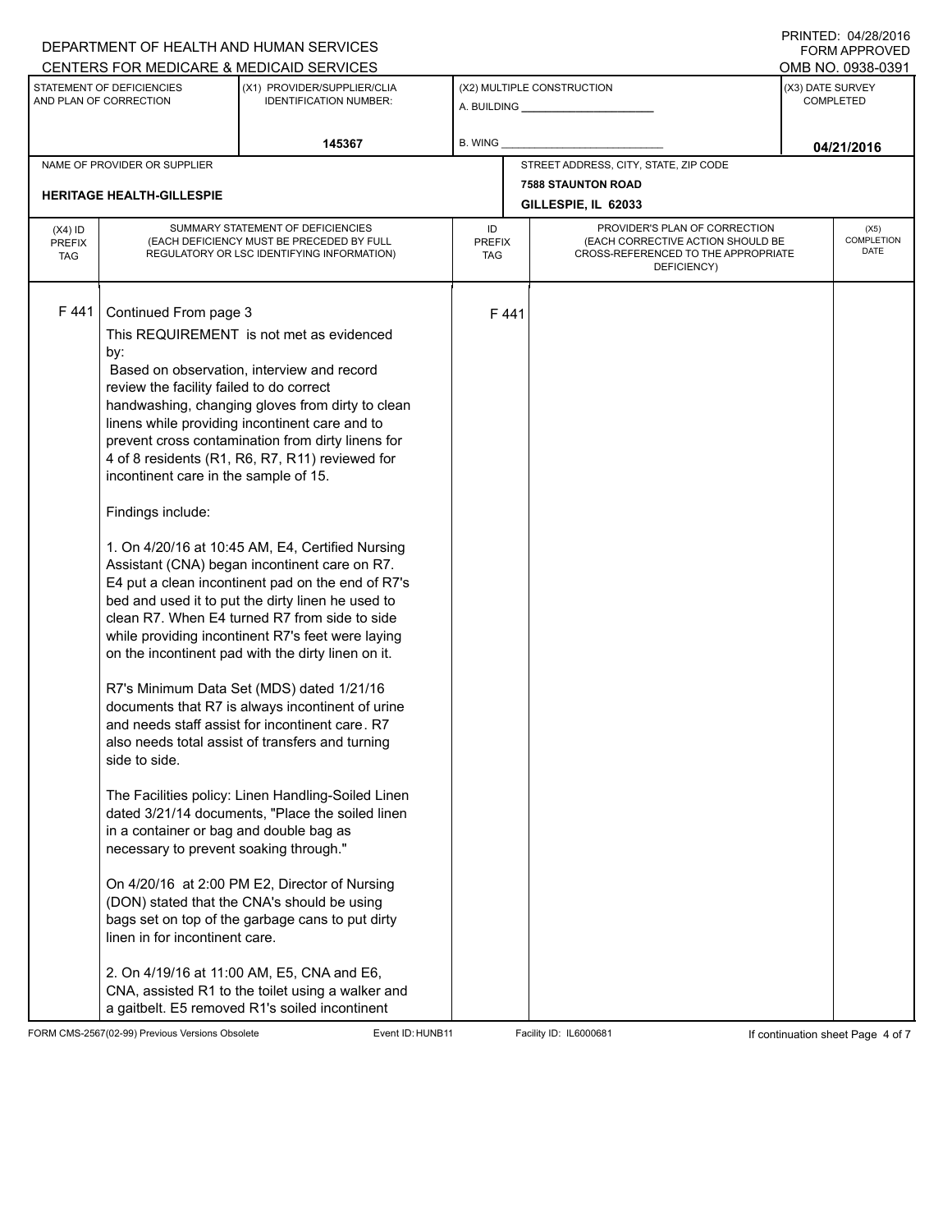| CENTERS FOR MEDICARE & MEDICAID SERVICES<br>STATEMENT OF DEFICIENCIES<br>(X2) MULTIPLE CONSTRUCTION<br>(X3) DATE SURVEY<br>(X1) PROVIDER/SUPPLIER/CLIA<br>AND PLAN OF CORRECTION<br><b>IDENTIFICATION NUMBER:</b><br><b>COMPLETED</b><br>145367<br>B. WING<br>04/21/2016<br>STREET ADDRESS, CITY, STATE, ZIP CODE<br>NAME OF PROVIDER OR SUPPLIER<br><b>7588 STAUNTON ROAD</b><br><b>HERITAGE HEALTH-GILLESPIE</b><br>GILLESPIE, IL 62033<br>SUMMARY STATEMENT OF DEFICIENCIES<br>PROVIDER'S PLAN OF CORRECTION<br>ID<br>$(X4)$ ID<br>(X5)<br>(EACH CORRECTIVE ACTION SHOULD BE<br>(EACH DEFICIENCY MUST BE PRECEDED BY FULL<br><b>PREFIX</b><br><b>PREFIX</b><br>DATE<br>CROSS-REFERENCED TO THE APPROPRIATE<br>REGULATORY OR LSC IDENTIFYING INFORMATION)<br><b>TAG</b><br>TAG<br>DEFICIENCY)<br>F441<br>Continued From page 3<br>F441<br>This REQUIREMENT is not met as evidenced<br>by:<br>Based on observation, interview and record<br>review the facility failed to do correct<br>handwashing, changing gloves from dirty to clean<br>linens while providing incontinent care and to<br>prevent cross contamination from dirty linens for<br>4 of 8 residents (R1, R6, R7, R11) reviewed for<br>incontinent care in the sample of 15. |  |  | DEPARTMENT OF HEALTH AND HUMAN SERVICES |  |  |  |  | 11111111127.077201210<br>FORM APPROVED |  |
|----------------------------------------------------------------------------------------------------------------------------------------------------------------------------------------------------------------------------------------------------------------------------------------------------------------------------------------------------------------------------------------------------------------------------------------------------------------------------------------------------------------------------------------------------------------------------------------------------------------------------------------------------------------------------------------------------------------------------------------------------------------------------------------------------------------------------------------------------------------------------------------------------------------------------------------------------------------------------------------------------------------------------------------------------------------------------------------------------------------------------------------------------------------------------------------------------------------------------------------------|--|--|-----------------------------------------|--|--|--|--|----------------------------------------|--|
|                                                                                                                                                                                                                                                                                                                                                                                                                                                                                                                                                                                                                                                                                                                                                                                                                                                                                                                                                                                                                                                                                                                                                                                                                                              |  |  |                                         |  |  |  |  | OMB NO. 0938-0391                      |  |
|                                                                                                                                                                                                                                                                                                                                                                                                                                                                                                                                                                                                                                                                                                                                                                                                                                                                                                                                                                                                                                                                                                                                                                                                                                              |  |  |                                         |  |  |  |  |                                        |  |
|                                                                                                                                                                                                                                                                                                                                                                                                                                                                                                                                                                                                                                                                                                                                                                                                                                                                                                                                                                                                                                                                                                                                                                                                                                              |  |  |                                         |  |  |  |  |                                        |  |
|                                                                                                                                                                                                                                                                                                                                                                                                                                                                                                                                                                                                                                                                                                                                                                                                                                                                                                                                                                                                                                                                                                                                                                                                                                              |  |  |                                         |  |  |  |  |                                        |  |
|                                                                                                                                                                                                                                                                                                                                                                                                                                                                                                                                                                                                                                                                                                                                                                                                                                                                                                                                                                                                                                                                                                                                                                                                                                              |  |  |                                         |  |  |  |  |                                        |  |
|                                                                                                                                                                                                                                                                                                                                                                                                                                                                                                                                                                                                                                                                                                                                                                                                                                                                                                                                                                                                                                                                                                                                                                                                                                              |  |  |                                         |  |  |  |  |                                        |  |
|                                                                                                                                                                                                                                                                                                                                                                                                                                                                                                                                                                                                                                                                                                                                                                                                                                                                                                                                                                                                                                                                                                                                                                                                                                              |  |  |                                         |  |  |  |  | COMPLETION                             |  |
| Findings include:<br>1. On 4/20/16 at 10:45 AM, E4, Certified Nursing<br>Assistant (CNA) began incontinent care on R7.<br>E4 put a clean incontinent pad on the end of R7's<br>bed and used it to put the dirty linen he used to<br>clean R7. When E4 turned R7 from side to side<br>while providing incontinent R7's feet were laying<br>on the incontinent pad with the dirty linen on it.<br>R7's Minimum Data Set (MDS) dated 1/21/16<br>documents that R7 is always incontinent of urine<br>and needs staff assist for incontinent care, R7<br>also needs total assist of transfers and turning<br>side to side.<br>The Facilities policy: Linen Handling-Soiled Linen<br>dated 3/21/14 documents, "Place the soiled linen<br>in a container or bag and double bag as<br>necessary to prevent soaking through."<br>On 4/20/16 at 2:00 PM E2, Director of Nursing<br>(DON) stated that the CNA's should be using<br>bags set on top of the garbage cans to put dirty<br>linen in for incontinent care.<br>2. On 4/19/16 at 11:00 AM, E5, CNA and E6,<br>CNA, assisted R1 to the toilet using a walker and                                                                                                                                |  |  |                                         |  |  |  |  |                                        |  |

FORM CMS-2567(02-99) Previous Versions Obsolete Event ID:HUNB11 Facility ID: IL6000681 If continuation sheet Page 4 of 7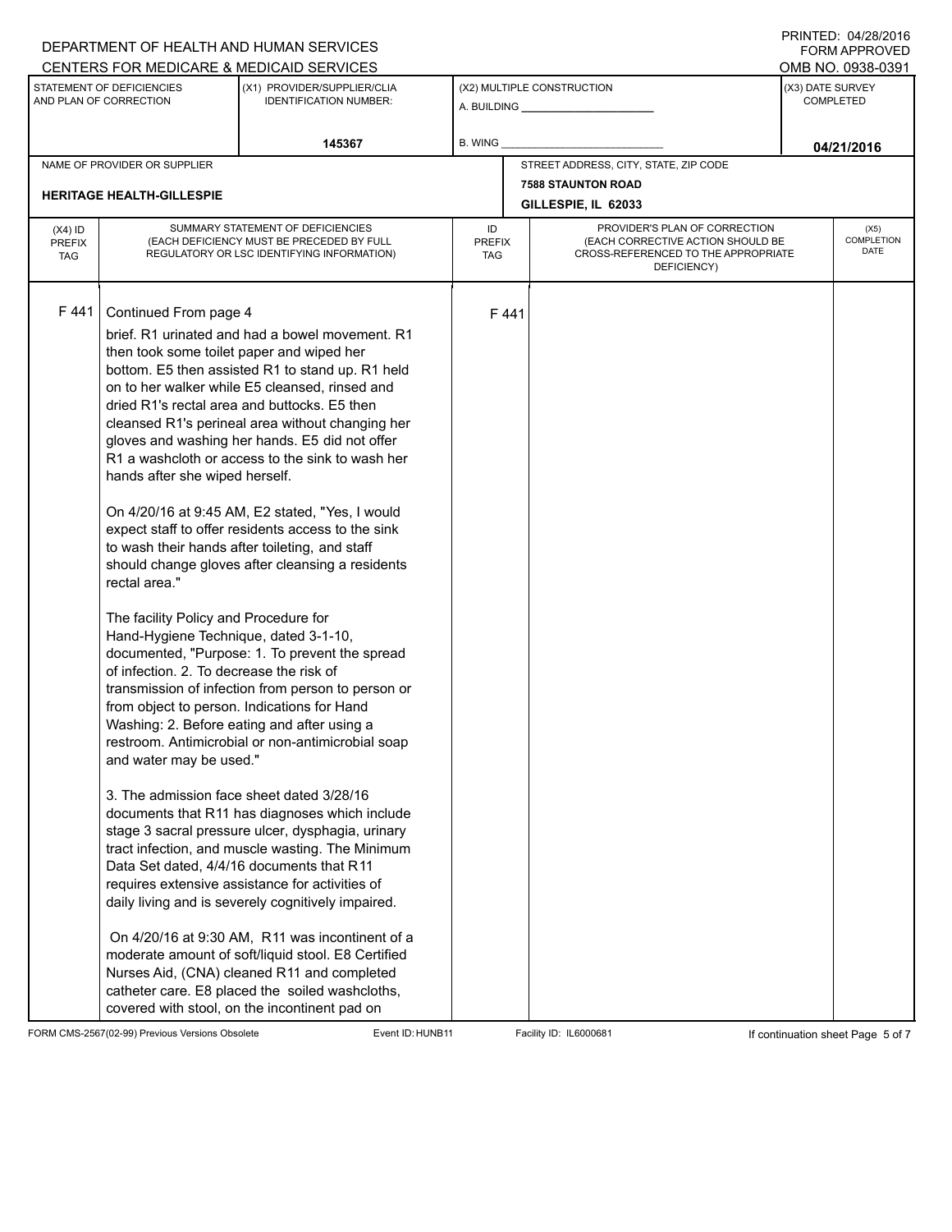### A. BUILDING **\_\_\_\_\_\_\_\_\_\_\_\_\_\_\_\_\_\_\_\_\_\_** (X1) PROVIDER/SUPPLIER/CLIA IDENTIFICATION NUMBER: STATEMENT OF DEFICIENCIES AND PLAN OF CORRECTION (X3) DATE SURVEY COMPLETED FORM APPROVED (X2) MULTIPLE CONSTRUCTION **B. WING** CENTERS FOR MEDICARE & MEDICAID SERVICES **And CENTERS FOR MEDICAL ACCESS** OMB NO. 0938-0391 **145367 04/21/2016** NAME OF PROVIDER OR SUPPLIER STREET ADDRESS, CITY, STATE, ZIP CODE **7588 STAUNTON ROAD HERITAGE HEALTH-GILLESPIE GILLESPIE, IL 62033** PROVIDER'S PLAN OF CORRECTION (EACH CORRECTIVE ACTION SHOULD BE CROSS-REFERENCED TO THE APPROPRIATE DEFICIENCY) (X5) **COMPLETION** DATE ID PREFIX TAG (X4) ID PREFIX TAG SUMMARY STATEMENT OF DEFICIENCIES (EACH DEFICIENCY MUST BE PRECEDED BY FULL REGULATORY OR LSC IDENTIFYING INFORMATION) F 441 Continued From page 4 F 441 brief. R1 urinated and had a bowel movement. R1 then took some toilet paper and wiped her bottom. E5 then assisted R1 to stand up. R1 held on to her walker while E5 cleansed, rinsed and dried R1's rectal area and buttocks. E5 then cleansed R1's perineal area without changing her gloves and washing her hands. E5 did not offer R1 a washcloth or access to the sink to wash her hands after she wiped herself. On 4/20/16 at 9:45 AM, E2 stated, "Yes, I would expect staff to offer residents access to the sink to wash their hands after toileting, and staff should change gloves after cleansing a residents rectal area." The facility Policy and Procedure for Hand-Hygiene Technique, dated 3-1-10, documented, "Purpose: 1. To prevent the spread of infection. 2. To decrease the risk of transmission of infection from person to person or from object to person. Indications for Hand Washing: 2. Before eating and after using a restroom. Antimicrobial or non-antimicrobial soap and water may be used." 3. The admission face sheet dated 3/28/16 documents that R11 has diagnoses which include stage 3 sacral pressure ulcer, dysphagia, urinary tract infection, and muscle wasting. The Minimum Data Set dated, 4/4/16 documents that R11 requires extensive assistance for activities of daily living and is severely cognitively impaired. On 4/20/16 at 9:30 AM, R11 was incontinent of a moderate amount of soft/liquid stool. E8 Certified Nurses Aid, (CNA) cleaned R11 and completed catheter care. E8 placed the soiled washcloths, covered with stool, on the incontinent pad on

FORM CMS-2567(02-99) Previous Versions Obsolete Event ID: HUNB11 Facility ID: IL6000681 If continuation sheet Page 5 of 7

DEPARTMENT OF HEALTH AND HUMAN SERVICES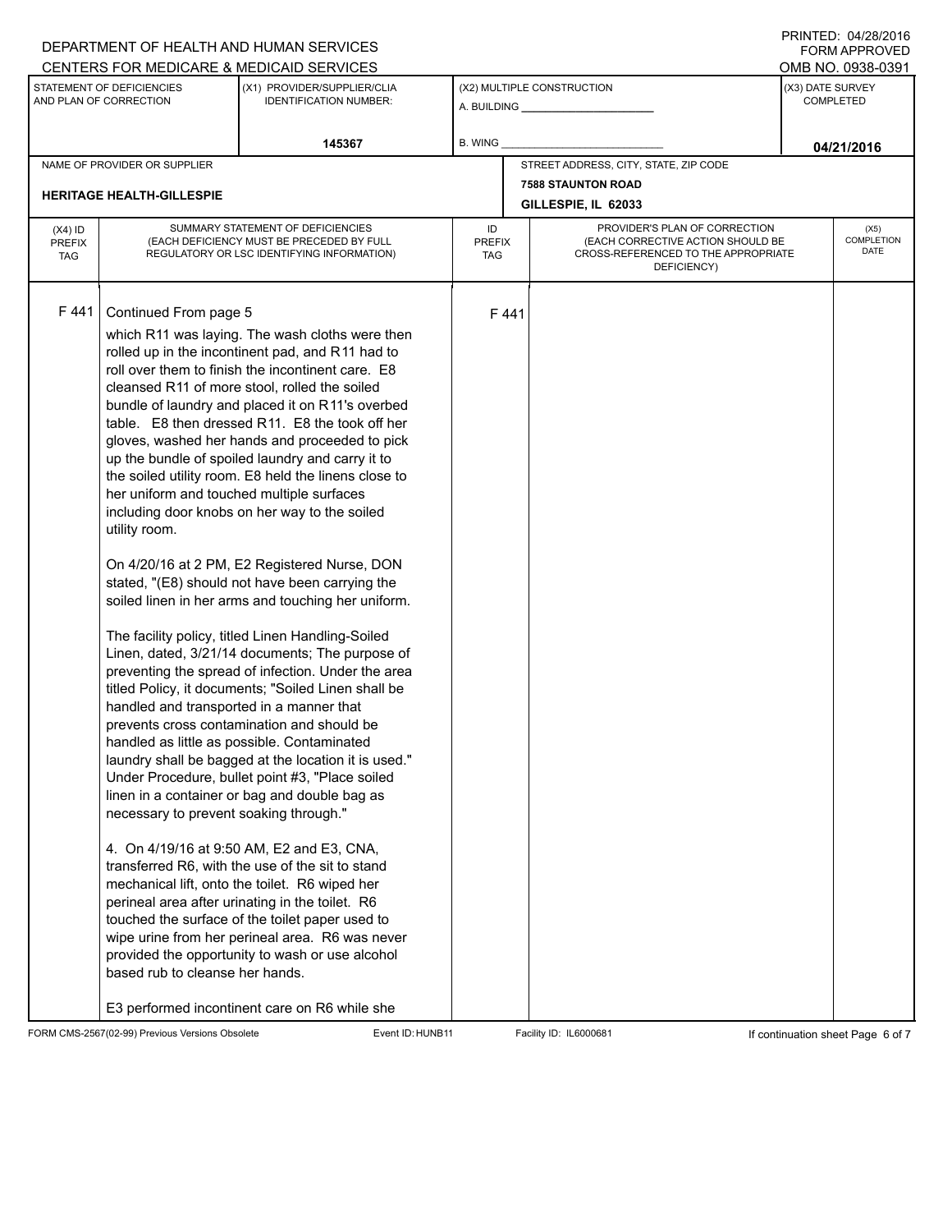### A. BUILDING **\_\_\_\_\_\_\_\_\_\_\_\_\_\_\_\_\_\_\_\_\_\_** (X1) PROVIDER/SUPPLIER/CLIA IDENTIFICATION NUMBER: STATEMENT OF DEFICIENCIES AND PLAN OF CORRECTION (X3) DATE SURVEY COMPLETED FORM APPROVED (X2) MULTIPLE CONSTRUCTION **B. WING** CENTERS FOR MEDICARE & MEDICAID SERVICES **And CENTERS FOR MEDICAL ACCESS** OMB NO. 0938-0391 **145367 04/21/2016** NAME OF PROVIDER OR SUPPLIER STREET ADDRESS, CITY, STATE, ZIP CODE **7588 STAUNTON ROAD HERITAGE HEALTH-GILLESPIE GILLESPIE, IL 62033** PROVIDER'S PLAN OF CORRECTION (EACH CORRECTIVE ACTION SHOULD BE CROSS-REFERENCED TO THE APPROPRIATE DEFICIENCY) (X5) **COMPLETION** DATE ID PREFIX TAG (X4) ID PREFIX TAG SUMMARY STATEMENT OF DEFICIENCIES (EACH DEFICIENCY MUST BE PRECEDED BY FULL REGULATORY OR LSC IDENTIFYING INFORMATION) F 441 Continued From page 5 F 441 which R11 was laying. The wash cloths were then rolled up in the incontinent pad, and R11 had to roll over them to finish the incontinent care. E8 cleansed R11 of more stool, rolled the soiled bundle of laundry and placed it on R11's overbed table. E8 then dressed R11. E8 the took off her gloves, washed her hands and proceeded to pick up the bundle of spoiled laundry and carry it to the soiled utility room. E8 held the linens close to her uniform and touched multiple surfaces including door knobs on her way to the soiled utility room. On 4/20/16 at 2 PM, E2 Registered Nurse, DON stated, "(E8) should not have been carrying the soiled linen in her arms and touching her uniform. The facility policy, titled Linen Handling-Soiled Linen, dated, 3/21/14 documents; The purpose of preventing the spread of infection. Under the area titled Policy, it documents; "Soiled Linen shall be handled and transported in a manner that prevents cross contamination and should be handled as little as possible. Contaminated laundry shall be bagged at the location it is used." Under Procedure, bullet point #3, "Place soiled linen in a container or bag and double bag as necessary to prevent soaking through." 4. On 4/19/16 at 9:50 AM, E2 and E3, CNA, transferred R6, with the use of the sit to stand mechanical lift, onto the toilet. R6 wiped her perineal area after urinating in the toilet. R6 touched the surface of the toilet paper used to wipe urine from her perineal area. R6 was never provided the opportunity to wash or use alcohol based rub to cleanse her hands. E3 performed incontinent care on R6 while she

FORM CMS-2567(02-99) Previous Versions Obsolete **Exent ID:HUNB11** Facility ID: IL6000681 **If continuation sheet Page 6 of 7** 

DEPARTMENT OF HEALTH AND HUMAN SERVICES